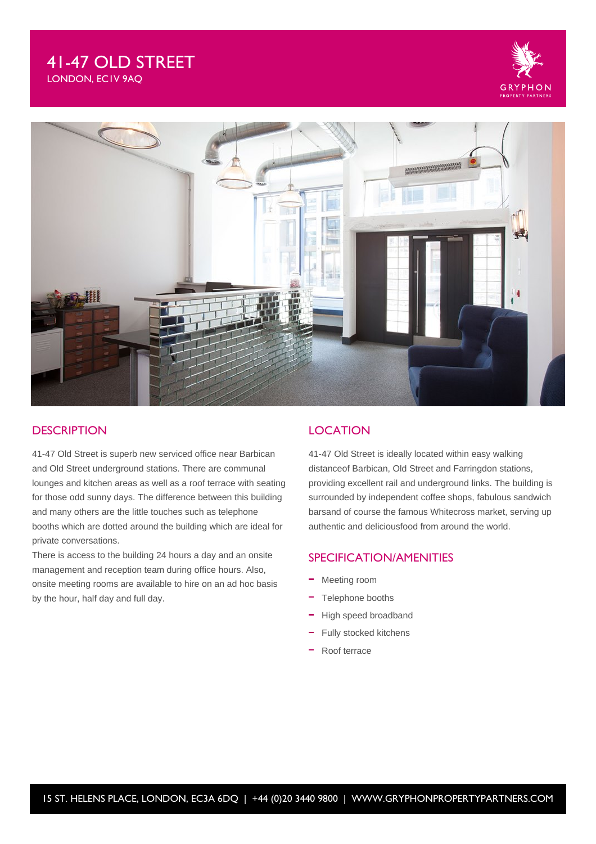# 41-47 OLD STREET LONDON, EC1V 9AQ





## **DESCRIPTION**

41-47 Old Street is superb new serviced office near Barbican and Old Street underground stations. There are communal lounges and kitchen areas as well as a roof terrace with seating for those odd sunny days. The difference between this building and many others are the little touches such as telephone booths which are dotted around the building which are ideal for private conversations.

There is access to the building 24 hours a day and an onsite management and reception team during office hours. Also, onsite meeting rooms are available to hire on an ad hoc basis by the hour, half day and full day.

## **LOCATION**

41-47 Old Street is ideally located within easy walking distanceof Barbican, Old Street and Farringdon stations, providing excellent rail and underground links. The building is surrounded by independent coffee shops, fabulous sandwich barsand of course the famous Whitecross market, serving up authentic and deliciousfood from around the world.

### SPECIFICATION/AMENITIES

- Meeting room
- Telephone booths
- High speed broadband
- Fully stocked kitchens
- Roof terrace